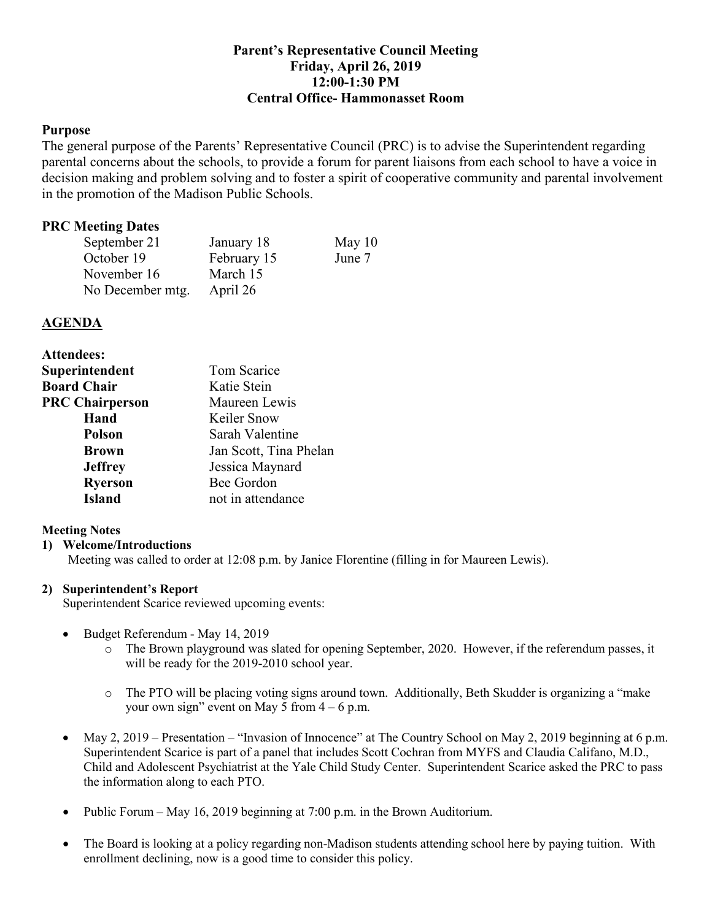# **Parent's Representative Council Meeting Friday, April 26, 2019 12:00-1:30 PM Central Office- Hammonasset Room**

## **Purpose**

 The general purpose of the Parents' Representative Council (PRC) is to advise the Superintendent regarding parental concerns about the schools, to provide a forum for parent liaisons from each school to have a voice in decision making and problem solving and to foster a spirit of cooperative community and parental involvement in the promotion of the Madison Public Schools.

# **PRC Meeting Dates**

| September 21     | January 18  | May $10$ |
|------------------|-------------|----------|
| October 19       | February 15 | June 7   |
| November 16      | March 15    |          |
| No December mtg. | April 26    |          |

## **AGENDA**

| <b>Tom Scarice</b>     |  |
|------------------------|--|
| Katie Stein            |  |
| Maureen Lewis          |  |
| Keiler Snow            |  |
| Sarah Valentine        |  |
| Jan Scott, Tina Phelan |  |
| Jessica Maynard        |  |
| Bee Gordon             |  |
| not in attendance      |  |
|                        |  |

## **Meeting Notes**

#### **1) Welcome/Introductions**

Meeting was called to order at 12:08 p.m. by Janice Florentine (filling in for Maureen Lewis).

#### **2) Superintendent's Report**

Superintendent Scarice reviewed upcoming events:

- • Budget Referendum May 14, 2019
	- o The Brown playground was slated for opening September, 2020. However, if the referendum passes, it will be ready for the 2019-2010 school year.
	- o The PTO will be placing voting signs around town. Additionally, Beth Skudder is organizing a "make your own sign" event on May 5 from  $4 - 6$  p.m.
- May 2, 2019 Presentation "Invasion of Innocence" at The Country School on May 2, 2019 beginning at 6 p.m. Superintendent Scarice is part of a panel that includes Scott Cochran from MYFS and Claudia Califano, M.D., Child and Adolescent Psychiatrist at the Yale Child Study Center. Superintendent Scarice asked the PRC to pass the information along to each PTO.
- Public Forum May 16, 2019 beginning at 7:00 p.m. in the Brown Auditorium.
- • The Board is looking at a policy regarding non-Madison students attending school here by paying tuition. With enrollment declining, now is a good time to consider this policy.